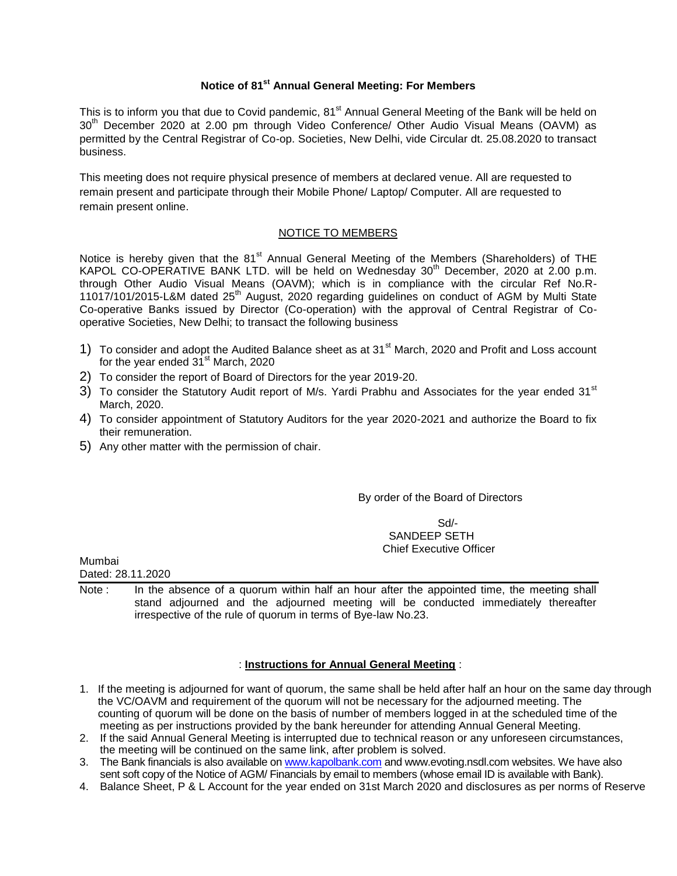# **Notice of 81st Annual General Meeting: For Members**

This is to inform you that due to Covid pandemic, 81<sup>st</sup> Annual General Meeting of the Bank will be held on 30<sup>th</sup> December 2020 at 2.00 pm through Video Conference/ Other Audio Visual Means (OAVM) as permitted by the Central Registrar of Co-op. Societies, New Delhi, vide Circular dt. 25.08.2020 to transact business.

This meeting does not require physical presence of members at declared venue. All are requested to remain present and participate through their Mobile Phone/ Laptop/ Computer. All are requested to remain present online.

#### NOTICE TO MEMBERS

Notice is hereby given that the 81<sup>st</sup> Annual General Meeting of the Members (Shareholders) of THE KAPOL CO-OPERATIVE BANK LTD. will be held on Wednesday 30<sup>th</sup> December, 2020 at 2.00 p.m. through Other Audio Visual Means (OAVM); which is in compliance with the circular Ref No.R-11017/101/2015-L&M dated 25<sup>th</sup> August, 2020 regarding guidelines on conduct of AGM by Multi State Co-operative Banks issued by Director (Co-operation) with the approval of Central Registrar of Cooperative Societies, New Delhi; to transact the following business

- 1) To consider and adopt the Audited Balance sheet as at 31<sup>st</sup> March, 2020 and Profit and Loss account for the year ended  $31<sup>st</sup>$  March, 2020
- 2) To consider the report of Board of Directors for the year 2019-20.
- 3) To consider the Statutory Audit report of M/s. Yardi Prabhu and Associates for the year ended 31<sup>st</sup> March, 2020.
- 4) To consider appointment of Statutory Auditors for the year 2020-2021 and authorize the Board to fix their remuneration.
- 5) Any other matter with the permission of chair.

#### By order of the Board of Directors

Sd/- SANDEEP SETH Chief Executive Officer

Mumbai

Dated: 28.11.2020

Note : In the absence of a quorum within half an hour after the appointed time, the meeting shall stand adjourned and the adjourned meeting will be conducted immediately thereafter irrespective of the rule of quorum in terms of Bye-law No.23.

## : **Instructions for Annual General Meeting** :

- 1. If the meeting is adjourned for want of quorum, the same shall be held after half an hour on the same day through the VC/OAVM and requirement of the quorum will not be necessary for the adjourned meeting. The counting of quorum will be done on the basis of number of members logged in at the scheduled time of the meeting as per instructions provided by the bank hereunder for attending Annual General Meeting.
- 2. If the said Annual General Meeting is interrupted due to technical reason or any unforeseen circumstances, the meeting will be continued on the same link, after problem is solved.
- 3. The Bank financials is also available o[n www.kapolbank.com](http://www.kapolbank.com/) and www.evoting.nsdl.com websites. We have also sent soft copy of the Notice of AGM/ Financials by email to members (whose email ID is available with Bank).
- 4. Balance Sheet, P & L Account for the year ended on 31st March 2020 and disclosures as per norms of Reserve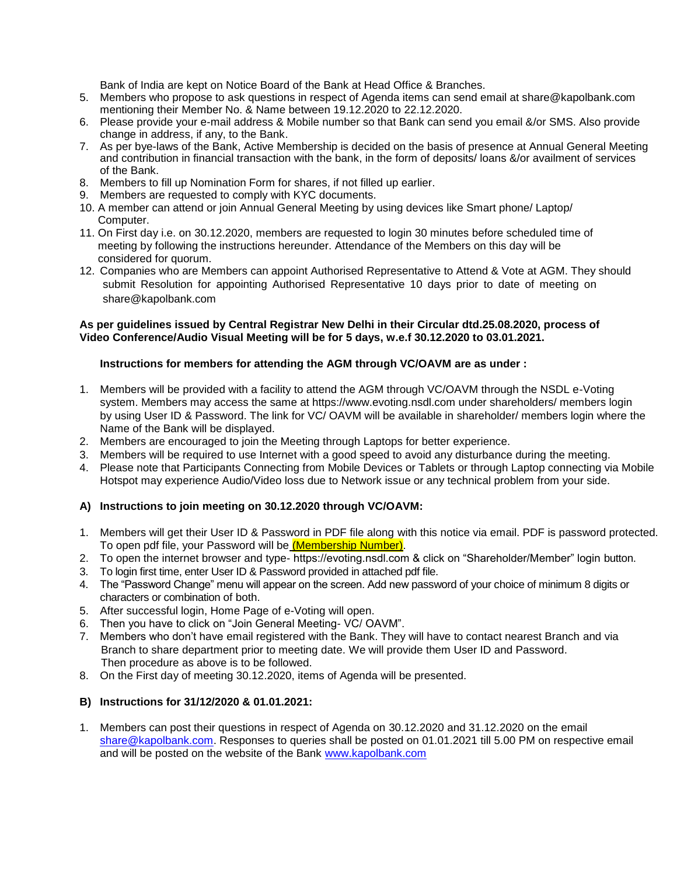Bank of India are kept on Notice Board of the Bank at Head Office & Branches.

- 5. Members who propose to ask questions in respect of Agenda items can send email at share@kapolbank.com mentioning their Member No. & Name between 19.12.2020 to 22.12.2020.
- 6. Please provide your e-mail address & Mobile number so that Bank can send you email &/or SMS. Also provide change in address, if any, to the Bank.
- 7. As per bye-laws of the Bank, Active Membership is decided on the basis of presence at Annual General Meeting and contribution in financial transaction with the bank, in the form of deposits/ loans &/or availment of services of the Bank.
- 8. Members to fill up Nomination Form for shares, if not filled up earlier.
- 9. Members are requested to comply with KYC documents.
- 10. A member can attend or join Annual General Meeting by using devices like Smart phone/ Laptop/ Computer.
- 11. On First day i.e. on 30.12.2020, members are requested to login 30 minutes before scheduled time of meeting by following the instructions hereunder. Attendance of the Members on this day will be considered for quorum.
- 12. Companies who are Members can appoint Authorised Representative to Attend & Vote at AGM. They should submit Resolution for appointing Authorised Representative 10 days prior to date of meeting on share@kapolbank.com

#### **As per guidelines issued by Central Registrar New Delhi in their Circular dtd.25.08.2020, process of Video Conference/Audio Visual Meeting will be for 5 days, w.e.f 30.12.2020 to 03.01.2021.**

## **Instructions for members for attending the AGM through VC/OAVM are as under :**

- 1. Members will be provided with a facility to attend the AGM through VC/OAVM through the NSDL e-Voting system. Members may access the same at https://www.evoting.nsdl.com under shareholders/ members login by using User ID & Password. The link for VC/ OAVM will be available in shareholder/ members login where the Name of the Bank will be displayed.
- 2. Members are encouraged to join the Meeting through Laptops for better experience.
- 3. Members will be required to use Internet with a good speed to avoid any disturbance during the meeting.
- 4. Please note that Participants Connecting from Mobile Devices or Tablets or through Laptop connecting via Mobile Hotspot may experience Audio/Video loss due to Network issue or any technical problem from your side.

## **A) Instructions to join meeting on 30.12.2020 through VC/OAVM:**

- 1. Members will get their User ID & Password in PDF file along with this notice via email. PDF is password protected. To open pdf file, your Password will be (Membership Number).
- 2. To open the internet browser and type- https://evoting.nsdl.com & click on "Shareholder/Member" login button.
- 3. To login first time, enter User ID & Password provided in attached pdf file.
- 4. The "Password Change" menu will appear on the screen. Add new password of your choice of minimum 8 digits or characters or combination of both.
- 5. After successful login, Home Page of e-Voting will open.
- 6. Then you have to click on "Join General Meeting- VC/ OAVM".
- 7. Members who don't have email registered with the Bank. They will have to contact nearest Branch and via Branch to share department prior to meeting date. We will provide them User ID and Password. Then procedure as above is to be followed.
- 8. On the First day of meeting 30.12.2020, items of Agenda will be presented.

#### **B) Instructions for 31/12/2020 & 01.01.2021:**

1. Members can post their questions in respect of Agenda on 30.12.2020 and 31.12.2020 on the email [share@kapolbank.com.](mailto:share@kapolbank.com) Responses to queries shall be posted on 01.01.2021 till 5.00 PM on respective email and will be posted on the website of the Bank [www.kapolbank.com](http://www.kapolbank.com/)